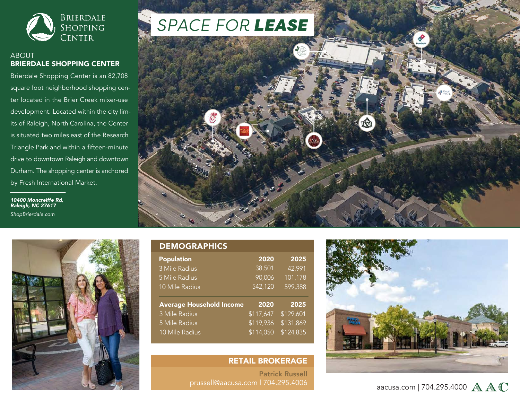

### ABOUT BRIERDALE SHOPPING CENTER

Brierdale Shopping Center is an 82,708 square foot neighborhood shopping center located in the Brier Creek mixer-use development. Located within the city limits of Raleigh, North Carolina, the Center is situated two miles east of the Research Triangle Park and within a fifteen-minute drive to downtown Raleigh and downtown Durham. The shopping center is anchored by Fresh International Market.

*10400 Moncreiffe Rd, Raleigh, NC 27617 ShopBrierdale.com*



#### DEMOGRAPHICS 2020 38,501 90,006 542,120 2025 42,991 101,178 599,388 Average Household Income 3 Mile Radius 5 Mile Radius 10 Mile Radius 2020 \$117,647 \$119,936 \$114,050 2025 \$129,601 \$131,869 \$124,835 Population 3 Mile Radius 5 Mile Radius 10 Mile Radius

# RETAIL BROKERAGE

Patrick Russell prussell@aacusa.com | 704.295.4006



# aacusa.com | 704.295.4000  $\mathbb{A} \mathbb{A} \mathbb{C}$

# *SPACE FOR LEASE*